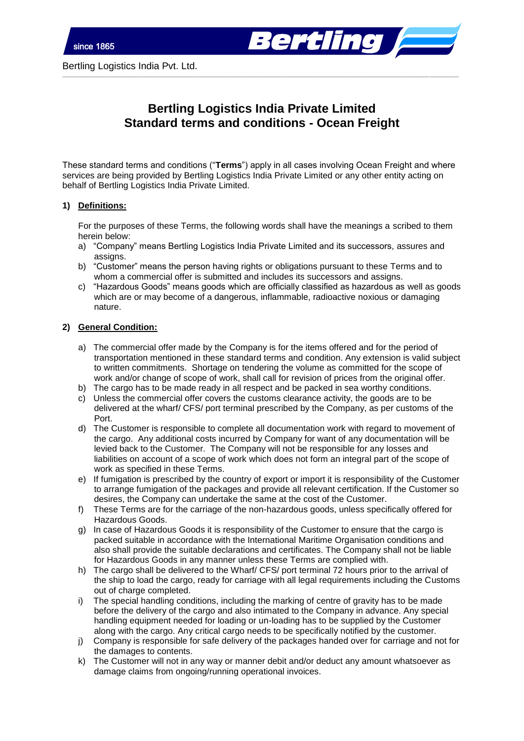

# **Bertling Logistics India Private Limited Standard terms and conditions - Ocean Freight**

\_\_\_\_\_\_\_\_\_\_\_\_\_\_\_\_\_\_\_\_\_\_\_\_\_\_\_\_\_\_\_\_\_\_\_\_\_\_\_\_\_\_\_\_\_\_\_\_\_\_\_\_\_\_\_\_\_\_\_\_\_\_\_\_\_\_\_\_\_\_\_\_\_\_\_\_\_\_\_\_\_\_\_\_\_\_\_\_\_\_\_\_\_\_\_\_\_\_\_\_\_\_\_\_\_\_\_\_\_\_\_\_\_\_\_\_\_\_\_\_\_\_\_\_\_\_\_\_\_\_\_\_\_\_\_

These standard terms and conditions ("**Terms**") apply in all cases involving Ocean Freight and where services are being provided by Bertling Logistics India Private Limited or any other entity acting on behalf of Bertling Logistics India Private Limited.

## **1) Definitions:**

For the purposes of these Terms, the following words shall have the meanings a scribed to them herein below:

- a) "Company" means Bertling Logistics India Private Limited and its successors, assures and assigns.
- b) "Customer" means the person having rights or obligations pursuant to these Terms and to whom a commercial offer is submitted and includes its successors and assigns.
- c) "Hazardous Goods" means goods which are officially classified as hazardous as well as goods which are or may become of a dangerous, inflammable, radioactive noxious or damaging nature.

## **2) General Condition:**

- a) The commercial offer made by the Company is for the items offered and for the period of transportation mentioned in these standard terms and condition. Any extension is valid subject to written commitments. Shortage on tendering the volume as committed for the scope of work and/or change of scope of work, shall call for revision of prices from the original offer.
- b) The cargo has to be made ready in all respect and be packed in sea worthy conditions.
- c) Unless the commercial offer covers the customs clearance activity, the goods are to be delivered at the wharf/ CFS/ port terminal prescribed by the Company, as per customs of the Port.
- d) The Customer is responsible to complete all documentation work with regard to movement of the cargo. Any additional costs incurred by Company for want of any documentation will be levied back to the Customer. The Company will not be responsible for any losses and liabilities on account of a scope of work which does not form an integral part of the scope of work as specified in these Terms.
- e) If fumigation is prescribed by the country of export or import it is responsibility of the Customer to arrange fumigation of the packages and provide all relevant certification. If the Customer so desires, the Company can undertake the same at the cost of the Customer.
- f) These Terms are for the carriage of the non-hazardous goods, unless specifically offered for Hazardous Goods.
- g) In case of Hazardous Goods it is responsibility of the Customer to ensure that the cargo is packed suitable in accordance with the International Maritime Organisation conditions and also shall provide the suitable declarations and certificates. The Company shall not be liable for Hazardous Goods in any manner unless these Terms are complied with.
- h) The cargo shall be delivered to the Wharf/ CFS/ port terminal 72 hours prior to the arrival of the ship to load the cargo, ready for carriage with all legal requirements including the Customs out of charge completed.
- i) The special handling conditions, including the marking of centre of gravity has to be made before the delivery of the cargo and also intimated to the Company in advance. Any special handling equipment needed for loading or un-loading has to be supplied by the Customer along with the cargo. Any critical cargo needs to be specifically notified by the customer.
- j) Company is responsible for safe delivery of the packages handed over for carriage and not for the damages to contents.
- k) The Customer will not in any way or manner debit and/or deduct any amount whatsoever as damage claims from ongoing/running operational invoices.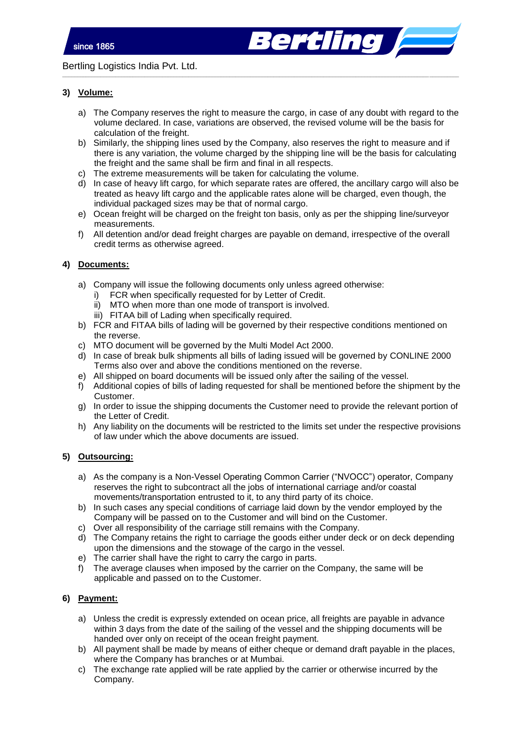erting *b*oos

Bertling Logistics India Pvt. Ltd.

# **3) Volume:**

a) The Company reserves the right to measure the cargo, in case of any doubt with regard to the volume declared. In case, variations are observed, the revised volume will be the basis for calculation of the freight.

\_\_\_\_\_\_\_\_\_\_\_\_\_\_\_\_\_\_\_\_\_\_\_\_\_\_\_\_\_\_\_\_\_\_\_\_\_\_\_\_\_\_\_\_\_\_\_\_\_\_\_\_\_\_\_\_\_\_\_\_\_\_\_\_\_\_\_\_\_\_\_\_\_\_\_\_\_\_\_\_\_\_\_\_\_\_\_\_\_\_\_\_\_\_\_\_\_\_\_\_\_\_\_\_\_\_\_\_\_\_\_\_\_\_\_\_\_\_\_\_\_\_\_\_\_\_\_\_\_\_\_\_\_\_\_

- b) Similarly, the shipping lines used by the Company, also reserves the right to measure and if there is any variation, the volume charged by the shipping line will be the basis for calculating the freight and the same shall be firm and final in all respects.
- c) The extreme measurements will be taken for calculating the volume.
- d) In case of heavy lift cargo, for which separate rates are offered, the ancillary cargo will also be treated as heavy lift cargo and the applicable rates alone will be charged, even though, the individual packaged sizes may be that of normal cargo.
- e) Ocean freight will be charged on the freight ton basis, only as per the shipping line/surveyor measurements.
- f) All detention and/or dead freight charges are payable on demand, irrespective of the overall credit terms as otherwise agreed.

## **4) Documents:**

- a) Company will issue the following documents only unless agreed otherwise:
	- i) FCR when specifically requested for by Letter of Credit.
	- ii) MTO when more than one mode of transport is involved.
	- iii) FITAA bill of Lading when specifically required.
- b) FCR and FITAA bills of lading will be governed by their respective conditions mentioned on the reverse.
- c) MTO document will be governed by the Multi Model Act 2000.
- d) In case of break bulk shipments all bills of lading issued will be governed by CONLINE 2000 Terms also over and above the conditions mentioned on the reverse.
- e) All shipped on board documents will be issued only after the sailing of the vessel.
- f) Additional copies of bills of lading requested for shall be mentioned before the shipment by the Customer.
- g) In order to issue the shipping documents the Customer need to provide the relevant portion of the Letter of Credit.
- h) Any liability on the documents will be restricted to the limits set under the respective provisions of law under which the above documents are issued.

## **5) Outsourcing:**

- a) As the company is a Non-Vessel Operating Common Carrier ("NVOCC") operator, Company reserves the right to subcontract all the jobs of international carriage and/or coastal movements/transportation entrusted to it, to any third party of its choice.
- b) In such cases any special conditions of carriage laid down by the vendor employed by the Company will be passed on to the Customer and will bind on the Customer.
- c) Over all responsibility of the carriage still remains with the Company.
- d) The Company retains the right to carriage the goods either under deck or on deck depending upon the dimensions and the stowage of the cargo in the vessel.
- e) The carrier shall have the right to carry the cargo in parts.
- f) The average clauses when imposed by the carrier on the Company, the same will be applicable and passed on to the Customer.

## **6) Payment:**

- a) Unless the credit is expressly extended on ocean price, all freights are payable in advance within 3 days from the date of the sailing of the vessel and the shipping documents will be handed over only on receipt of the ocean freight payment.
- b) All payment shall be made by means of either cheque or demand draft payable in the places, where the Company has branches or at Mumbai.
- c) The exchange rate applied will be rate applied by the carrier or otherwise incurred by the Company.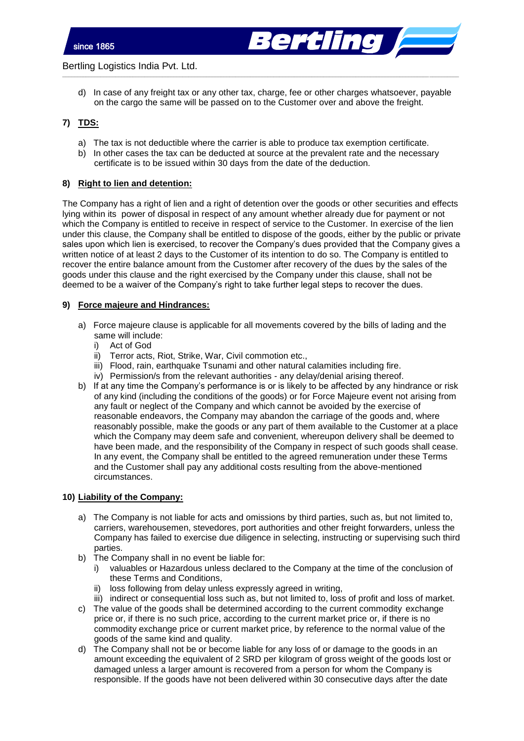

d) In case of any freight tax or any other tax, charge, fee or other charges whatsoever, payable on the cargo the same will be passed on to the Customer over and above the freight.

\_\_\_\_\_\_\_\_\_\_\_\_\_\_\_\_\_\_\_\_\_\_\_\_\_\_\_\_\_\_\_\_\_\_\_\_\_\_\_\_\_\_\_\_\_\_\_\_\_\_\_\_\_\_\_\_\_\_\_\_\_\_\_\_\_\_\_\_\_\_\_\_\_\_\_\_\_\_\_\_\_\_\_\_\_\_\_\_\_\_\_\_\_\_\_\_\_\_\_\_\_\_\_\_\_\_\_\_\_\_\_\_\_\_\_\_\_\_\_\_\_\_\_\_\_\_\_\_\_\_\_\_\_\_\_

# **7) TDS:**

- a) The tax is not deductible where the carrier is able to produce tax exemption certificate.
- b) In other cases the tax can be deducted at source at the prevalent rate and the necessary certificate is to be issued within 30 days from the date of the deduction.

### **8) Right to lien and detention:**

The Company has a right of lien and a right of detention over the goods or other securities and effects lying within its power of disposal in respect of any amount whether already due for payment or not which the Company is entitled to receive in respect of service to the Customer. In exercise of the lien under this clause, the Company shall be entitled to dispose of the goods, either by the public or private sales upon which lien is exercised, to recover the Company's dues provided that the Company gives a written notice of at least 2 days to the Customer of its intention to do so. The Company is entitled to recover the entire balance amount from the Customer after recovery of the dues by the sales of the goods under this clause and the right exercised by the Company under this clause, shall not be deemed to be a waiver of the Company's right to take further legal steps to recover the dues.

### **9) Force majeure and Hindrances:**

- a) Force majeure clause is applicable for all movements covered by the bills of lading and the same will include:
	- i) Act of God
	- ii) Terror acts, Riot, Strike, War, Civil commotion etc.,
	- iii) Flood, rain, earthquake Tsunami and other natural calamities including fire.
	- iv) Permission/s from the relevant authorities any delay/denial arising thereof.
- b) If at any time the Company's performance is or is likely to be affected by any hindrance or risk of any kind (including the conditions of the goods) or for Force Majeure event not arising from any fault or neglect of the Company and which cannot be avoided by the exercise of reasonable endeavors, the Company may abandon the carriage of the goods and, where reasonably possible, make the goods or any part of them available to the Customer at a place which the Company may deem safe and convenient, whereupon delivery shall be deemed to have been made, and the responsibility of the Company in respect of such goods shall cease. In any event, the Company shall be entitled to the agreed remuneration under these Terms and the Customer shall pay any additional costs resulting from the above-mentioned circumstances.

# **10) Liability of the Company:**

- a) The Company is not liable for acts and omissions by third parties, such as, but not limited to, carriers, warehousemen, stevedores, port authorities and other freight forwarders, unless the Company has failed to exercise due diligence in selecting, instructing or supervising such third parties.
- b) The Company shall in no event be liable for:
	- i) valuables or Hazardous unless declared to the Company at the time of the conclusion of these Terms and Conditions,
	- ii) loss following from delay unless expressly agreed in writing,
	- iii) indirect or consequential loss such as, but not limited to, loss of profit and loss of market.
- c) The value of the goods shall be determined according to the current commodity exchange price or, if there is no such price, according to the current market price or, if there is no commodity exchange price or current market price, by reference to the normal value of the goods of the same kind and quality.
- d) The Company shall not be or become liable for any loss of or damage to the goods in an amount exceeding the equivalent of 2 SRD per kilogram of gross weight of the goods lost or damaged unless a larger amount is recovered from a person for whom the Company is responsible. If the goods have not been delivered within 30 consecutive days after the date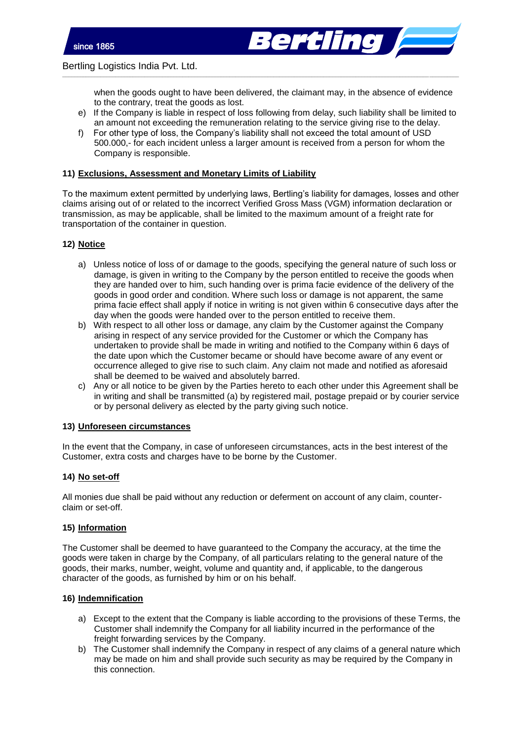

when the goods ought to have been delivered, the claimant may, in the absence of evidence to the contrary, treat the goods as lost.

- e) If the Company is liable in respect of loss following from delay, such liability shall be limited to an amount not exceeding the remuneration relating to the service giving rise to the delay.
- f) For other type of loss, the Company's liability shall not exceed the total amount of USD 500.000,- for each incident unless a larger amount is received from a person for whom the Company is responsible.

\_\_\_\_\_\_\_\_\_\_\_\_\_\_\_\_\_\_\_\_\_\_\_\_\_\_\_\_\_\_\_\_\_\_\_\_\_\_\_\_\_\_\_\_\_\_\_\_\_\_\_\_\_\_\_\_\_\_\_\_\_\_\_\_\_\_\_\_\_\_\_\_\_\_\_\_\_\_\_\_\_\_\_\_\_\_\_\_\_\_\_\_\_\_\_\_\_\_\_\_\_\_\_\_\_\_\_\_\_\_\_\_\_\_\_\_\_\_\_\_\_\_\_\_\_\_\_\_\_\_\_\_\_\_\_

# **11) Exclusions, Assessment and Monetary Limits of Liability**

To the maximum extent permitted by underlying laws, Bertling's liability for damages, losses and other claims arising out of or related to the incorrect Verified Gross Mass (VGM) information declaration or transmission, as may be applicable, shall be limited to the maximum amount of a freight rate for transportation of the container in question.

## **12) Notice**

- a) Unless notice of loss of or damage to the goods, specifying the general nature of such loss or damage, is given in writing to the Company by the person entitled to receive the goods when they are handed over to him, such handing over is prima facie evidence of the delivery of the goods in good order and condition. Where such loss or damage is not apparent, the same prima facie effect shall apply if notice in writing is not given within 6 consecutive days after the day when the goods were handed over to the person entitled to receive them.
- b) With respect to all other loss or damage, any claim by the Customer against the Company arising in respect of any service provided for the Customer or which the Company has undertaken to provide shall be made in writing and notified to the Company within 6 days of the date upon which the Customer became or should have become aware of any event or occurrence alleged to give rise to such claim. Any claim not made and notified as aforesaid shall be deemed to be waived and absolutely barred.
- c) Any or all notice to be given by the Parties hereto to each other under this Agreement shall be in writing and shall be transmitted (a) by registered mail, postage prepaid or by courier service or by personal delivery as elected by the party giving such notice.

## **13) Unforeseen circumstances**

In the event that the Company, in case of unforeseen circumstances, acts in the best interest of the Customer, extra costs and charges have to be borne by the Customer.

## **14) No set-off**

All monies due shall be paid without any reduction or deferment on account of any claim, counterclaim or set-off.

## **15) Information**

The Customer shall be deemed to have guaranteed to the Company the accuracy, at the time the goods were taken in charge by the Company, of all particulars relating to the general nature of the goods, their marks, number, weight, volume and quantity and, if applicable, to the dangerous character of the goods, as furnished by him or on his behalf.

## **16) Indemnification**

- a) Except to the extent that the Company is liable according to the provisions of these Terms, the Customer shall indemnify the Company for all liability incurred in the performance of the freight forwarding services by the Company.
- b) The Customer shall indemnify the Company in respect of any claims of a general nature which may be made on him and shall provide such security as may be required by the Company in this connection.